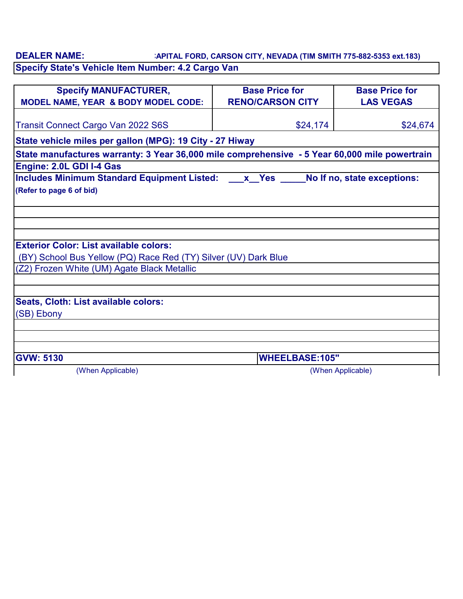**CAPITAL FORD, CARSON CITY, NEVADA (TIM SMITH 775-882-5353 ext.183) Specify State's Vehicle Item Number: 4.2 Cargo Van DEALER NAME:**

| <b>Specify MANUFACTURER,</b><br>MODEL NAME, YEAR & BODY MODEL CODE:                           | <b>Base Price for</b><br><b>RENO/CARSON CITY</b> | <b>Base Price for</b><br><b>LAS VEGAS</b> |  |
|-----------------------------------------------------------------------------------------------|--------------------------------------------------|-------------------------------------------|--|
| <b>Transit Connect Cargo Van 2022 S6S</b>                                                     | \$24,174                                         | \$24,674                                  |  |
| State vehicle miles per gallon (MPG): 19 City - 27 Hiway                                      |                                                  |                                           |  |
| State manufactures warranty: 3 Year 36,000 mile comprehensive - 5 Year 60,000 mile powertrain |                                                  |                                           |  |
| <b>Engine: 2.0L GDI I-4 Gas</b>                                                               |                                                  |                                           |  |
| Includes Minimum Standard Equipment Listed: x Yes Molf no, state exceptions:                  |                                                  |                                           |  |
| (Refer to page 6 of bid)                                                                      |                                                  |                                           |  |
|                                                                                               |                                                  |                                           |  |
|                                                                                               |                                                  |                                           |  |
|                                                                                               |                                                  |                                           |  |
| <b>Exterior Color: List available colors:</b>                                                 |                                                  |                                           |  |
| (BY) School Bus Yellow (PQ) Race Red (TY) Silver (UV) Dark Blue                               |                                                  |                                           |  |
| (Z2) Frozen White (UM) Agate Black Metallic                                                   |                                                  |                                           |  |
|                                                                                               |                                                  |                                           |  |
| Seats, Cloth: List available colors:                                                          |                                                  |                                           |  |
| (SB) Ebony                                                                                    |                                                  |                                           |  |
|                                                                                               |                                                  |                                           |  |
|                                                                                               |                                                  |                                           |  |
| <b>GVW: 5130</b>                                                                              | <b>WHEELBASE:105"</b>                            |                                           |  |
| (When Applicable)                                                                             | (When Applicable)                                |                                           |  |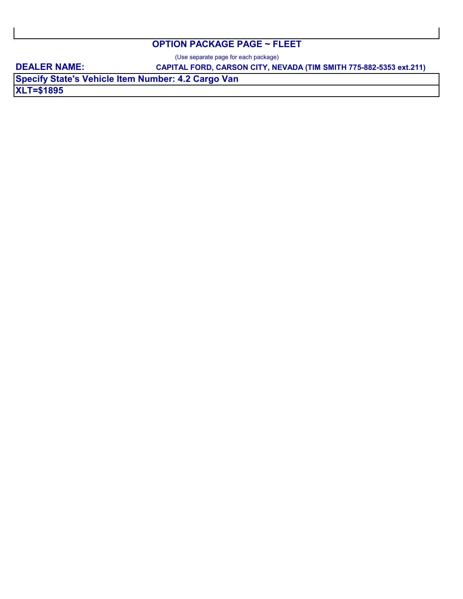## **OPTION PACKAGE PAGE ~ FLEET**

(Use separate page for each package)

**DEALER NAME:** 

**CAPITAL FORD, CARSON CITY, NEVADA (TIM SMITH 775-882-5353 ext.211)**

**XLT=\$1895 Specify State's Vehicle Item Number: 4.2 Cargo Van**